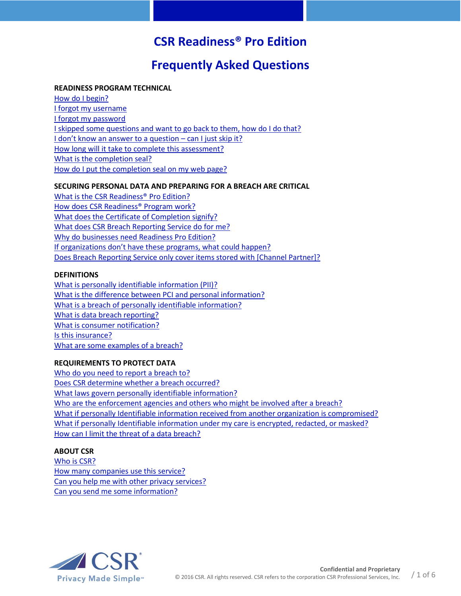# **CSR Readiness® Pro Edition**

# **Frequently Asked Questions**

# **READINESS PROGRAM TECHNICAL**

[How do I begin?](#page-1-0) [I forgot my username](#page-1-0) [I forgot my password](#page-1-1) [I skipped some questions and want to go back to them, how do I do that?](#page-1-2) [I don't know an answer to a question](#page-1-3) – can I just skip it? How long will it [take to complete this assessment?](#page-1-4) [What is the completion seal?](#page-1-5) [How do I put the completion seal on my web page?](#page-1-6)

## **SECURING PERSONAL DATA AND PREPARING FOR A BREACH ARE CRITICAL**

[What is the CSR Readiness®](#page-2-0) Pro Edition? [How does CSR Readiness®](#page-2-1) Program work? [What does the Certificate of Completion signify?](#page-2-2) [What does CSR Breach Reporting Service do for me?](#page-2-3) [Why do businesses need Readiness](#page-2-4) Pro Edition? If organizations don't have these [programs, what could happen?](#page-3-0) [Does Breach Reporting Service only cover items stored with \[Channel Partner\]?](#page-3-0)

### **DEFINITIONS**

[What is personally identifiable information](#page-3-1) (PII)? [What is the difference between PCI and personal information?](#page-3-2) [What is a breach of personally identifiable information?](#page-3-3) [What is data breach reporting?](#page-4-0) [What is consumer notification?](#page-4-1) [Is this insurance?](#page-4-2) [What are some examples of a breach?](#page-4-3)

# **REQUIREMENTS TO PROTECT DATA**

[Who do you need to report a breach to?](#page-4-4) [Does CSR determine whether a breach occurred?](#page-4-5) [What laws govern personally identifiable information?](#page-4-4) [Who are the enforcement agencies and others who might be involved after a breach?](#page-4-6) [What if personally Identifiable information received from another organization is compromised?](#page-5-0) [What if personally Identifiable information under my care is encrypted, redacted, or masked?](#page-5-1)  [How can I limit the threat of a data breach?](#page-5-2)

# **ABOUT CSR**

[Who is CSR?](#page-5-3) [How many companies use this service?](#page-5-4) [Can you help me with other privacy services?](#page-5-5) [Can you send me some information?](#page-5-6)

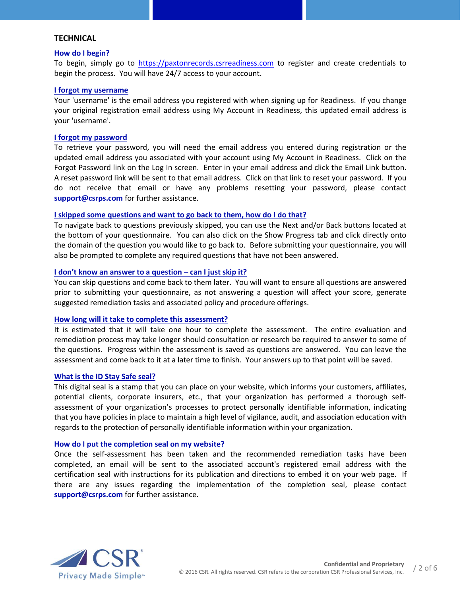# **TECHNICAL**

#### <span id="page-1-0"></span>**How do I begin?**

To begin, simply go to [https://paxtonrecords.csrreadiness.com](https://paxtonrecords.csrreadiness.com/) to register and create credentials to begin the process. You will have 24/7 access to your account.

#### **I forgot my username**

Your 'username' is the email address you registered with when signing up for Readiness. If you change your original registration email address using My Account in Readiness, this updated email address is your 'username'.

## <span id="page-1-1"></span>**I forgot my password**

To retrieve your password, you will need the email address you entered during registration or the updated email address you associated with your account using My Account in Readiness. Click on the Forgot Password link on the Log In screen. Enter in your email address and click the Email Link button. A reset password link will be sent to that email address. Click on that link to reset your password. If you do not receive that email or have any problems resetting your password, please contact **support@csrps.com** for further assistance.

### <span id="page-1-2"></span>**I skipped some questions and want to go back to them, how do I do that?**

To navigate back to questions previously skipped, you can use the Next and/or Back buttons located at the bottom of your questionnaire. You can also click on the Show Progress tab and click directly onto the domain of the question you would like to go back to. Before submitting your questionnaire, you will also be prompted to complete any required questions that have not been answered.

#### <span id="page-1-3"></span>**I don't know an answer to a question – can I just skip it?**

You can skip questions and come back to them later. You will want to ensure all questions are answered prior to submitting your questionnaire, as not answering a question will affect your score, generate suggested remediation tasks and associated policy and procedure offerings.

### <span id="page-1-4"></span>**How long will it take to complete this assessment?**

It is estimated that it will take one hour to complete the assessment. The entire evaluation and remediation process may take longer should consultation or research be required to answer to some of the questions. Progress within the assessment is saved as questions are answered. You can leave the assessment and come back to it at a later time to finish. Your answers up to that point will be saved.

### <span id="page-1-5"></span>**What is the ID Stay Safe seal?**

This digital seal is a stamp that you can place on your website, which informs your customers, affiliates, potential clients, corporate insurers, etc., that your organization has performed a thorough selfassessment of your organization's processes to protect personally identifiable information, indicating that you have policies in place to maintain a high level of vigilance, audit, and association education with regards to the protection of personally identifiable information within your organization.

#### <span id="page-1-6"></span>**How do I put the completion seal on my website?**

Once the self-assessment has been taken and the recommended remediation tasks have been completed, an email will be sent to the associated account's registered email address with the certification seal with instructions for its publication and directions to embed it on your web page. If there are any issues regarding the implementation of the completion seal, please contact **support@csrps.com** for further assistance.

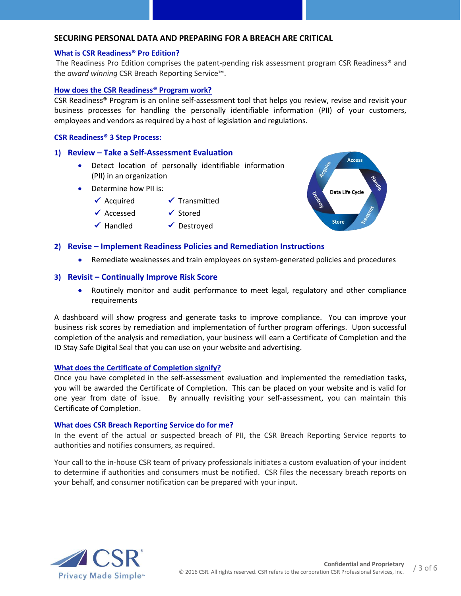## **SECURING PERSONAL DATA AND PREPARING FOR A BREACH ARE CRITICAL**

#### <span id="page-2-0"></span>**What is CSR Readiness® Pro Edition?**

The Readiness Pro Edition comprises the patent-pending risk assessment program CSR Readiness® and the *award winning* CSR Breach Reporting Service™.

#### <span id="page-2-1"></span>**How does the CSR Readiness® Program work?**

CSR Readiness® Program is an online self-assessment tool that helps you review, revise and revisit your business processes for handling the personally identifiable information (PII) of your customers, employees and vendors as required by a host of legislation and regulations.

#### **CSR Readiness® 3 Step Process:**

## **1) Review – Take a Self-Assessment Evaluation**

- Detect location of personally identifiable information (PII) in an organization
- Determine how PII is:
	- $\checkmark$  Acquired
	- $\checkmark$  Accessed  $\checkmark$  Handled
		- $\checkmark$  Stored
			- $\checkmark$  Destroyed



### **2) Revise – Implement Readiness Policies and Remediation Instructions**

 $\checkmark$  Transmitted

Remediate weaknesses and train employees on system-generated policies and procedures

## **3) Revisit – Continually Improve Risk Score**

• Routinely monitor and audit performance to meet legal, regulatory and other compliance requirements

<span id="page-2-2"></span>A dashboard will show progress and generate tasks to improve compliance. You can improve your business risk scores by remediation and implementation of further program offerings. Upon successful completion of the analysis and remediation, your business will earn a Certificate of Completion and the ID Stay Safe Digital Seal that you can use on your website and advertising.

#### **What does the Certificate of Completion signify?**

Once you have completed in the self-assessment evaluation and implemented the remediation tasks, you will be awarded the Certificate of Completion. This can be placed on your website and is valid for one year from date of issue. By annually revisiting your self-assessment, you can maintain this Certificate of Completion.

#### <span id="page-2-3"></span>**What does CSR Breach Reporting Service do for me?**

In the event of the actual or suspected breach of PII, the CSR Breach Reporting Service reports to authorities and notifies consumers, as required.

<span id="page-2-4"></span>Your call to the in-house CSR team of privacy professionals initiates a custom evaluation of your incident to determine if authorities and consumers must be notified. CSR files the necessary breach reports on your behalf, and consumer notification can be prepared with your input.

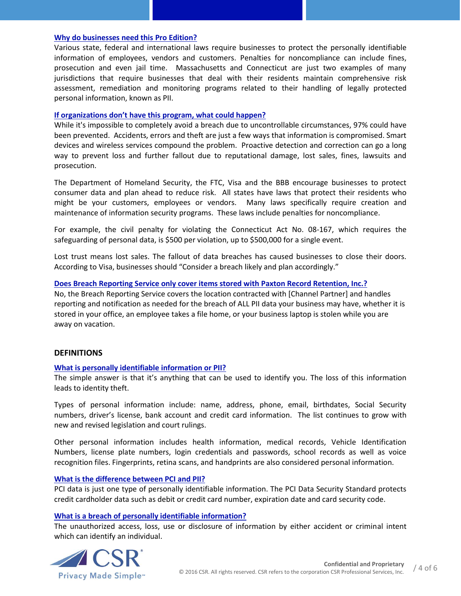## **[Why do businesses need this Pro Edition?](#page-2-4)**

Various state, federal and international laws require businesses to protect the personally identifiable information of employees, vendors and customers. Penalties for noncompliance can include fines, prosecution and even jail time. Massachusetts and Connecticut are just two examples of many jurisdictions that require businesses that deal with their residents maintain comprehensive risk assessment, remediation and monitoring programs related to their handling of legally protected personal information, known as PII.

#### <span id="page-3-0"></span>**[If organizations don't have this](#page-3-0) program, what could happen?**

While it's impossible to completely avoid a breach due to uncontrollable circumstances, 97% could have been prevented. Accidents, errors and theft are just a few ways that information is compromised. Smart devices and wireless services compound the problem. Proactive detection and correction can go a long way to prevent loss and further fallout due to reputational damage, lost sales, fines, lawsuits and prosecution.

The Department of Homeland Security, the FTC, Visa and the BBB encourage businesses to protect consumer data and plan ahead to reduce risk. All states have laws that protect their residents who might be your customers, employees or vendors. Many laws specifically require creation and maintenance of information security programs. These laws include penalties for noncompliance.

For example, the civil penalty for violating the Connecticut Act No. 08-167, which requires the safeguarding of personal data, is \$500 per violation, up to \$500,000 for a single event.

Lost trust means lost sales. The fallout of data breaches has caused businesses to close their doors. According to Visa, businesses should "Consider a breach likely and plan accordingly."

### **Does Breach Reporting Service only cover items stored with Paxton Record Retention, Inc.?**

<span id="page-3-1"></span>No, the Breach Reporting Service covers the location contracted with [Channel Partner] and handles reporting and notification as needed for the breach of ALL PII data your business may have, whether it is stored in your office, an employee takes a file home, or your business laptop is stolen while you are away on vacation.

### **DEFINITIONS**

### **[What is personally identifiable information or PII?](#page-3-1)**

The simple answer is that it's anything that can be used to identify you. The loss of this information leads to identity theft.

Types of personal information include: name, address, phone, email, birthdates, Social Security numbers, driver's license, bank account and credit card information. The list continues to grow with new and revised legislation and court rulings.

Other personal information includes health information, medical records, Vehicle Identification Numbers, license plate numbers, login credentials and passwords, school records as well as voice recognition files. Fingerprints, retina scans, and handprints are also considered personal information.

### <span id="page-3-2"></span>**[What is the difference between PCI and PII?](#page-3-2)**

PCI data is just one type of personally identifiable information. The PCI Data Security Standard protects credit cardholder data such as debit or credit card number, expiration date and card security code.

### <span id="page-3-3"></span>**[What is a breach of personally identifiable information?](#page-3-3)**

The unauthorized access, loss, use or disclosure of information by either accident or criminal intent which can identify an individual.

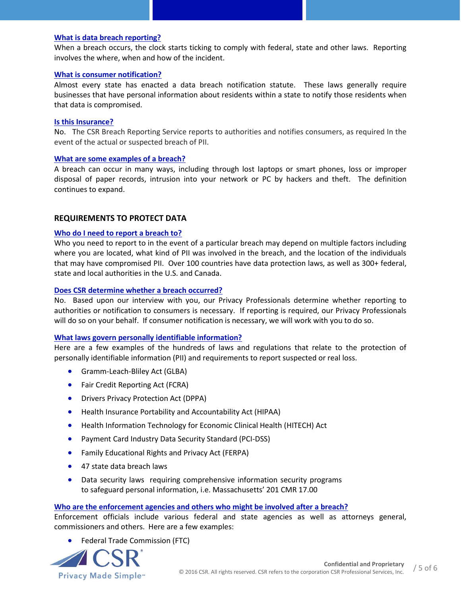## <span id="page-4-0"></span>**[What is data breach reporting?](#page-4-0)**

When a breach occurs, the clock starts ticking to comply with federal, state and other laws. Reporting involves the where, when and how of the incident.

### <span id="page-4-1"></span>**[What is consumer notification?](#page-4-1)**

Almost every state has enacted a data breach notification statute. These laws generally require businesses that have personal information about residents within a state to notify those residents when that data is compromised.

#### <span id="page-4-2"></span>**Is this Insurance?**

No. The CSR Breach Reporting Service reports to authorities and notifies consumers, as required In the event of the actual or suspected breach of PII.

#### <span id="page-4-3"></span>**[What are some examples of a breach?](#page-4-3)**

A breach can occur in many ways, including through lost laptops or smart phones, loss or improper disposal of paper records, intrusion into your network or PC by hackers and theft. The definition continues to expand.

### **REQUIREMENTS TO PROTECT DATA**

#### <span id="page-4-4"></span>**Who do I need to report a breach to?**

Who you need to report to in the event of a particular breach may depend on multiple factors including where you are located, what kind of PII was involved in the breach, and the location of the individuals that may have compromised PII. Over 100 countries have data protection laws, as well as 300+ federal, state and local authorities in the U.S. and Canada.

### <span id="page-4-5"></span>**Does CSR determine whether a breach occurred?**

No. Based upon our interview with you, our Privacy Professionals determine whether reporting to authorities or notification to consumers is necessary. If reporting is required, our Privacy Professionals will do so on your behalf. If consumer notification is necessary, we will work with you to do so.

### **[What laws govern personally identifiable information?](#page-4-4)**

Here are a few examples of the hundreds of laws and regulations that relate to the protection of personally identifiable information (PII) and requirements to report suspected or real loss.

- **•** Gramm-Leach-Bliley Act (GLBA)
- Fair Credit Reporting Act (FCRA)
- **•** Drivers Privacy Protection Act (DPPA)
- Health Insurance Portability and Accountability Act (HIPAA)
- Health Information Technology for Economic Clinical Health (HITECH) Act
- Payment Card Industry Data Security Standard (PCI-DSS)
- Family Educational Rights and Privacy Act (FERPA)
- 47 state data breach laws
- Data security laws requiring comprehensive information security programs to safeguard personal information, i.e. Massachusetts' 201 CMR 17.00

### <span id="page-4-6"></span>**[Who are the enforcement agencies and others who might be involved after a breach?](#page-4-6)**

Enforcement officials include various federal and state agencies as well as attorneys general, commissioners and others. Here are a few examples:

Federal Trade Commission (FTC)